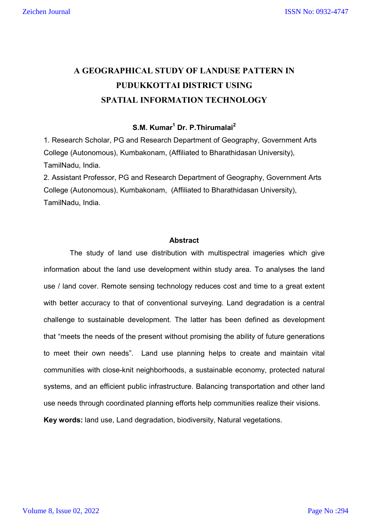# **A GEOGRAPHICAL STUDY OF LANDUSE PATTERN IN PUDUKKOTTAI DISTRICT USING SPATIAL INFORMATION TECHNOLOGY**

# **S.M. Kumar1 Dr. P.Thirumalai<sup>2</sup>**

1. Research Scholar, PG and Research Department of Geography, Government Arts College (Autonomous), Kumbakonam, (Affiliated to Bharathidasan University), TamilNadu, India.

2. Assistant Professor, PG and Research Department of Geography, Government Arts College (Autonomous), Kumbakonam, (Affiliated to Bharathidasan University), TamilNadu, India.

#### **Abstract**

The study of land use distribution with multispectral imageries which give information about the land use development within study area. To analyses the land use / land cover. Remote sensing technology reduces cost and time to a great extent with better accuracy to that of conventional surveying. Land degradation is a central challenge to sustainable development. The latter has been defined as development that "meets the needs of the present without promising the ability of future generations to meet their own needs". Land use planning helps to create and maintain vital communities with close-knit neighborhoods, a sustainable economy, protected natural systems, and an efficient public infrastructure. Balancing transportation and other land use needs through coordinated planning efforts help communities realize their visions. **Key words:** land use, Land degradation, biodiversity, Natural vegetations.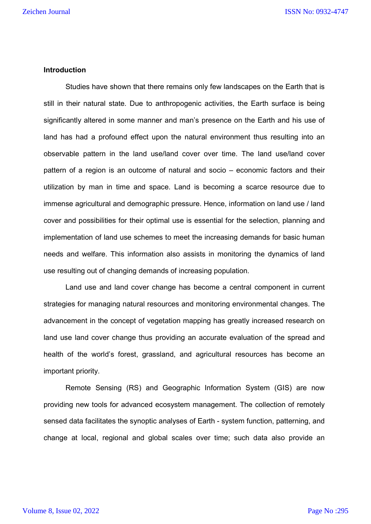### **Introduction**

 Studies have shown that there remains only few landscapes on the Earth that is still in their natural state. Due to anthropogenic activities, the Earth surface is being significantly altered in some manner and man's presence on the Earth and his use of land has had a profound effect upon the natural environment thus resulting into an observable pattern in the land use/land cover over time. The land use/land cover pattern of a region is an outcome of natural and socio – economic factors and their utilization by man in time and space. Land is becoming a scarce resource due to immense agricultural and demographic pressure. Hence, information on land use / land cover and possibilities for their optimal use is essential for the selection, planning and implementation of land use schemes to meet the increasing demands for basic human needs and welfare. This information also assists in monitoring the dynamics of land use resulting out of changing demands of increasing population.

Land use and land cover change has become a central component in current strategies for managing natural resources and monitoring environmental changes. The advancement in the concept of vegetation mapping has greatly increased research on land use land cover change thus providing an accurate evaluation of the spread and health of the world's forest, grassland, and agricultural resources has become an important priority.

Remote Sensing (RS) and Geographic Information System (GIS) are now providing new tools for advanced ecosystem management. The collection of remotely sensed data facilitates the synoptic analyses of Earth - system function, patterning, and change at local, regional and global scales over time; such data also provide an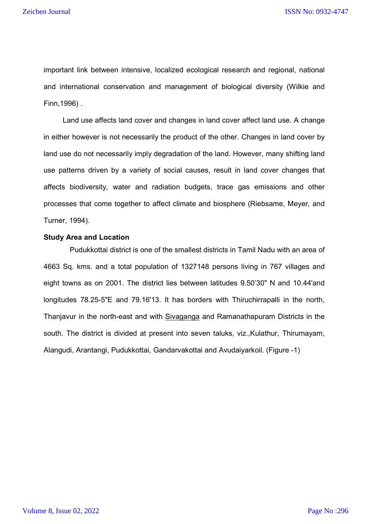important link between intensive, localized ecological research and regional, national and international conservation and management of biological diversity (Wilkie and Finn,1996) .

Land use affects land cover and changes in land cover affect land use. A change in either however is not necessarily the product of the other. Changes in land cover by land use do not necessarily imply degradation of the land. However, many shifting land use patterns driven by a variety of social causes, result in land cover changes that affects biodiversity, water and radiation budgets, trace gas emissions and other processes that come together to affect climate and biosphere (Riebsame, Meyer, and Turner, 1994).

### **Study Area and Location**

Pudukkottai district is one of the smallest districts in Tamil Nadu with an area of 4663 Sq. kms. and a total population of 1327148 persons living in 767 villages and eight towns as on 2001. The district lies between latitudes 9.50'30" N and 10.44'and longitudes 78.25-5"E and 79.16'13. It has borders with Thiruchirrapalli in the north, Thanjavur in the north-east and with Sivaganga and Ramanathapuram Districts in the south. The district is divided at present into seven taluks, viz.,Kulathur, Thirumayam, Alangudi, Arantangi, Pudukkottai, Gandarvakottai and Avudaiyarkoil. (Figure -1)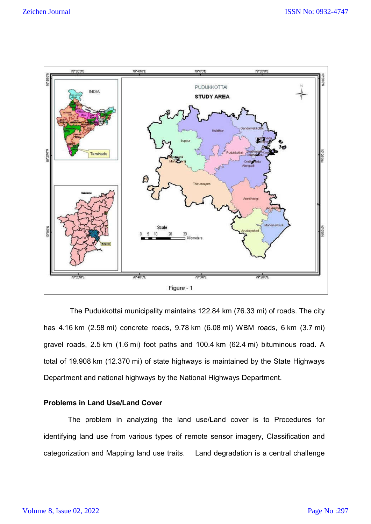

The Pudukkottai municipality maintains 122.84 km (76.33 mi) of roads. The city has 4.16 km (2.58 mi) concrete roads, 9.78 km (6.08 mi) WBM roads, 6 km (3.7 mi) gravel roads, 2.5 km (1.6 mi) foot paths and 100.4 km (62.4 mi) bituminous road. A total of 19.908 km (12.370 mi) of state highways is maintained by the State Highways Department and national highways by the National Highways Department.

# **Problems in Land Use/Land Cover**

 The problem in analyzing the land use/Land cover is to Procedures for identifying land use from various types of remote sensor imagery, Classification and categorization and Mapping land use traits. Land degradation is a central challenge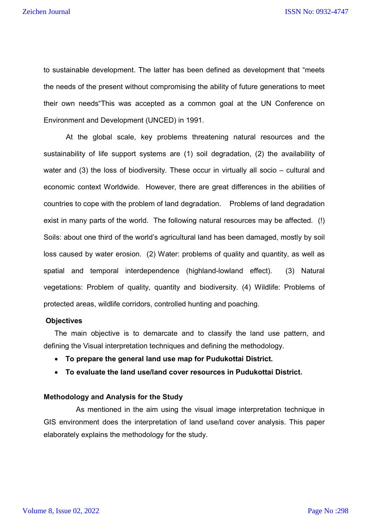to sustainable development. The latter has been defined as development that "meets the needs of the present without compromising the ability of future generations to meet their own needs"This was accepted as a common goal at the UN Conference on Environment and Development (UNCED) in 1991.

 At the global scale, key problems threatening natural resources and the sustainability of life support systems are (1) soil degradation, (2) the availability of water and (3) the loss of biodiversity. These occur in virtually all socio – cultural and economic context Worldwide. However, there are great differences in the abilities of countries to cope with the problem of land degradation. Problems of land degradation exist in many parts of the world. The following natural resources may be affected. (!) Soils: about one third of the world's agricultural land has been damaged, mostly by soil loss caused by water erosion. (2) Water: problems of quality and quantity, as well as spatial and temporal interdependence (highland-lowland effect). (3) Natural vegetations: Problem of quality, quantity and biodiversity. (4) Wildlife: Problems of protected areas, wildlife corridors, controlled hunting and poaching.

### **Objectives**

The main objective is to demarcate and to classify the land use pattern, and defining the Visual interpretation techniques and defining the methodology.

- **To prepare the general land use map for Pudukottai District.**
- **To evaluate the land use/land cover resources in Pudukottai District.**

#### **Methodology and Analysis for the Study**

 As mentioned in the aim using the visual image interpretation technique in GIS environment does the interpretation of land use/land cover analysis. This paper elaborately explains the methodology for the study.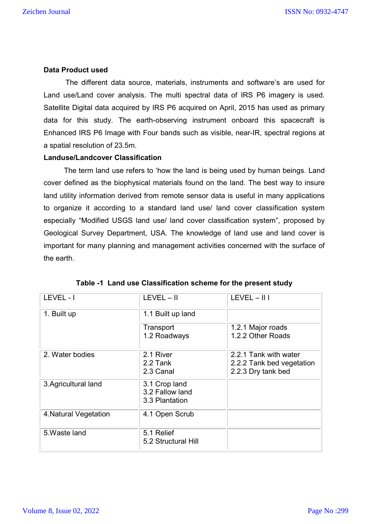# **Data Product used**

The different data source, materials, instruments and software's are used for Land use/Land cover analysis. The multi spectral data of IRS P6 imagery is used. Satellite Digital data acquired by IRS P6 acquired on April, 2015 has used as primary data for this study. The earth-observing instrument onboard this spacecraft is Enhanced IRS P6 Image with Four bands such as visible, near-IR, spectral regions at a spatial resolution of 23.5m.

# **Landuse/Landcover Classification**

 The term land use refers to 'how the land is being used by human beings. Land cover defined as the biophysical materials found on the land. The best way to insure land utility information derived from remote sensor data is useful in many applications to organize it according to a standard land use/ land cover classification system especially "Modified USGS land use/ land cover classification system", proposed by Geological Survey Department, USA. The knowledge of land use and land cover is important for many planning and management activities concerned with the surface of the earth.

| LEVEL-I               | $LEVEL - II$                                       | $LEVEL - II$                                                             |
|-----------------------|----------------------------------------------------|--------------------------------------------------------------------------|
| 1. Built up           | 1.1 Built up land                                  |                                                                          |
|                       | Transport<br>1.2 Roadways                          | 1.2.1 Major roads<br>1.2.2 Other Roads                                   |
| 2. Water bodies       | 2.1 River<br>2.2 Tank<br>2.3 Canal                 | 2.2.1 Tank with water<br>2.2.2 Tank bed vegetation<br>2.2.3 Dry tank bed |
| 3. Agricultural land  | 3.1 Crop land<br>3.2 Fallow land<br>3.3 Plantation |                                                                          |
| 4. Natural Vegetation | 4.1 Open Scrub                                     |                                                                          |
| 5. Waste land         | 5.1 Relief<br>5.2 Structural Hill                  |                                                                          |

|  |  |  |  |  | Table -1 Land use Classification scheme for the present study |
|--|--|--|--|--|---------------------------------------------------------------|
|--|--|--|--|--|---------------------------------------------------------------|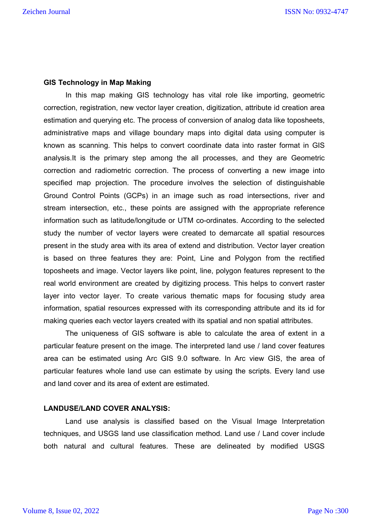# **GIS Technology in Map Making**

In this map making GIS technology has vital role like importing, geometric correction, registration, new vector layer creation, digitization, attribute id creation area estimation and querying etc. The process of conversion of analog data like toposheets, administrative maps and village boundary maps into digital data using computer is known as scanning. This helps to convert coordinate data into raster format in GIS analysis.It is the primary step among the all processes, and they are Geometric correction and radiometric correction. The process of converting a new image into specified map projection. The procedure involves the selection of distinguishable Ground Control Points (GCPs) in an image such as road intersections, river and stream intersection, etc., these points are assigned with the appropriate reference information such as latitude/longitude or UTM co-ordinates. According to the selected study the number of vector layers were created to demarcate all spatial resources present in the study area with its area of extend and distribution. Vector layer creation is based on three features they are: Point, Line and Polygon from the rectified toposheets and image. Vector layers like point, line, polygon features represent to the real world environment are created by digitizing process. This helps to convert raster layer into vector layer. To create various thematic maps for focusing study area information, spatial resources expressed with its corresponding attribute and its id for making queries each vector layers created with its spatial and non spatial attributes.

The uniqueness of GIS software is able to calculate the area of extent in a particular feature present on the image. The interpreted land use / land cover features area can be estimated using Arc GIS 9.0 software. In Arc view GIS, the area of particular features whole land use can estimate by using the scripts. Every land use and land cover and its area of extent are estimated.

### **LANDUSE/LAND COVER ANALYSIS:**

Land use analysis is classified based on the Visual Image Interpretation techniques, and USGS land use classification method. Land use / Land cover include both natural and cultural features. These are delineated by modified USGS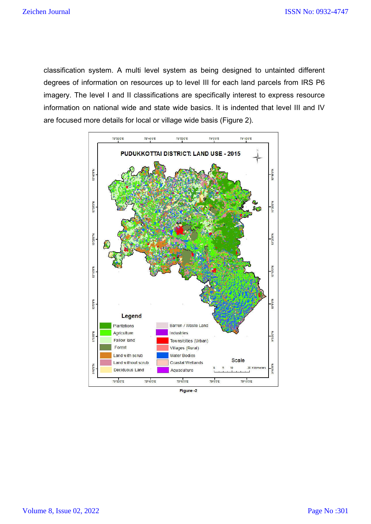classification system. A multi level system as being designed to untainted different degrees of information on resources up to level III for each land parcels from IRS P6 imagery. The level I and II classifications are specifically interest to express resource information on national wide and state wide basics. It is indented that level III and IV are focused more details for local or village wide basis (Figure 2).



Figure -2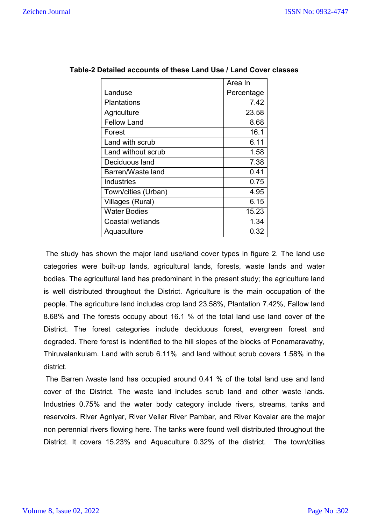|                     | Area In    |  |
|---------------------|------------|--|
| Landuse             | Percentage |  |
| Plantations         | 7.42       |  |
| Agriculture         | 23.58      |  |
| <b>Fellow Land</b>  | 8.68       |  |
| Forest              | 16.1       |  |
| Land with scrub     | 6.11       |  |
| Land without scrub  | 1.58       |  |
| Deciduous land      | 7.38       |  |
| Barren/Waste land   | 0.41       |  |
| <b>Industries</b>   | 0.75       |  |
| Town/cities (Urban) | 4.95       |  |
| Villages (Rural)    | 6.15       |  |
| <b>Water Bodies</b> | 15.23      |  |
| Coastal wetlands    | 1.34       |  |
| Aquaculture         | 0.32       |  |

# **Table-2 Detailed accounts of these Land Use / Land Cover classes**

The study has shown the major land use/land cover types in figure 2. The land use categories were built-up lands, agricultural lands, forests, waste lands and water bodies. The agricultural land has predominant in the present study; the agriculture land is well distributed throughout the District. Agriculture is the main occupation of the people. The agriculture land includes crop land 23.58%, Plantation 7.42%, Fallow land 8.68% and The forests occupy about 16.1 % of the total land use land cover of the District. The forest categories include deciduous forest, evergreen forest and degraded. There forest is indentified to the hill slopes of the blocks of Ponamaravathy, Thiruvalankulam. Land with scrub 6.11% and land without scrub covers 1.58% in the district.

The Barren /waste land has occupied around 0.41 % of the total land use and land cover of the District. The waste land includes scrub land and other waste lands. Industries 0.75% and the water body category include rivers, streams, tanks and reservoirs. River Agniyar, River Vellar River Pambar, and River Kovalar are the major non perennial rivers flowing here. The tanks were found well distributed throughout the District. It covers 15.23% and Aquaculture 0.32% of the district. The town/cities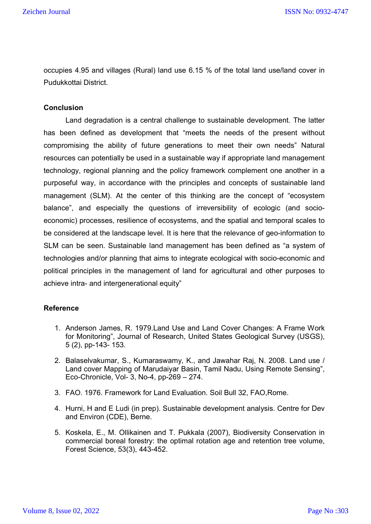occupies 4.95 and villages (Rural) land use 6.15 % of the total land use/land cover in Pudukkottai District.

# **Conclusion**

Land degradation is a central challenge to sustainable development. The latter has been defined as development that "meets the needs of the present without compromising the ability of future generations to meet their own needs" Natural resources can potentially be used in a sustainable way if appropriate land management technology, regional planning and the policy framework complement one another in a purposeful way, in accordance with the principles and concepts of sustainable land management (SLM). At the center of this thinking are the concept of "ecosystem balance", and especially the questions of irreversibility of ecologic (and socioeconomic) processes, resilience of ecosystems, and the spatial and temporal scales to be considered at the landscape level. It is here that the relevance of geo-information to SLM can be seen. Sustainable land management has been defined as "a system of technologies and/or planning that aims to integrate ecological with socio-economic and political principles in the management of land for agricultural and other purposes to achieve intra- and intergenerational equity"

### **Reference**

- 1. Anderson James, R. 1979.Land Use and Land Cover Changes: A Frame Work for Monitoring", Journal of Research, United States Geological Survey (USGS), 5 (2), pp-143- 153.
- 2. Balaselvakumar, S., Kumaraswamy, K., and Jawahar Raj, N. 2008. Land use / Land cover Mapping of Marudaiyar Basin, Tamil Nadu, Using Remote Sensing", Eco-Chronicle, Vol- 3, No-4, pp-269 – 274.
- 3. FAO. 1976. Framework for Land Evaluation. Soil Bull 32, FAO,Rome.
- 4. Hurni, H and E Ludi (in prep). Sustainable development analysis. Centre for Dev and Environ (CDE), Berne.
- 5. Koskela, E., M. Ollikainen and T. Pukkala (2007), Biodiversity Conservation in commercial boreal forestry: the optimal rotation age and retention tree volume, Forest Science, 53(3), 443-452.